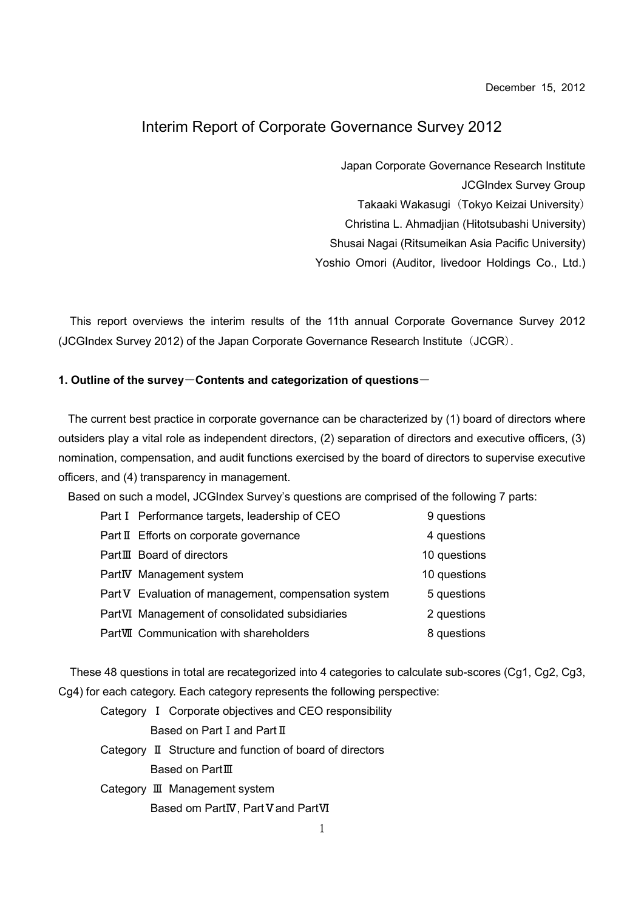December 15, 2012

### Interim Report of Corporate Governance Survey 2012

Japan Corporate Governance Research Institute JCGIndex Survey Group Takaaki Wakasugi (Tokyo Keizai University) Christina L. Ahmadjian (Hitotsubashi University) Shusai Nagai (Ritsumeikan Asia Pacific University)

Yoshio Omori (Auditor, livedoor Holdings Co., Ltd.)

This report overviews the interim results of the 11th annual Corporate Governance Survey 2012 (JCGIndex Survey 2012) of the Japan Corporate Governance Research Institute (JCGR).

#### 1. Outline of the survey-Contents and categorization of questions-

The current best practice in corporate governance can be characterized by (1) board of directors where outsiders play a vital role as independent directors, (2) separation of directors and executive officers, (3) nomination, compensation, and audit functions exercised by the board of directors to supervise executive officers, and (4) transparency in management.

Based on such a model, JCGIndex Survey's questions are comprised of the following 7 parts:

| Part I Performance targets, leadership of CEO        | 9 questions  |
|------------------------------------------------------|--------------|
| Part II Efforts on corporate governance              | 4 questions  |
| PartIII Board of directors                           | 10 questions |
| PartIV Management system                             | 10 questions |
| Part V Evaluation of management, compensation system | 5 questions  |
| PartVI Management of consolidated subsidiaries       | 2 questions  |
| PartVII Communication with shareholders              | 8 questions  |

These 48 questions in total are recategorized into 4 categories to calculate sub-scores (Cg1, Cg2, Cg3, Cg4) for each category. Each category represents the following perspective:

Category Ⅰ Corporate objectives and CEO responsibility Based on Part I and Part II Category Ⅱ Structure and function of board of directors Based on PartⅢ Category Ⅲ Management system Based om PartIV, Part V and PartVI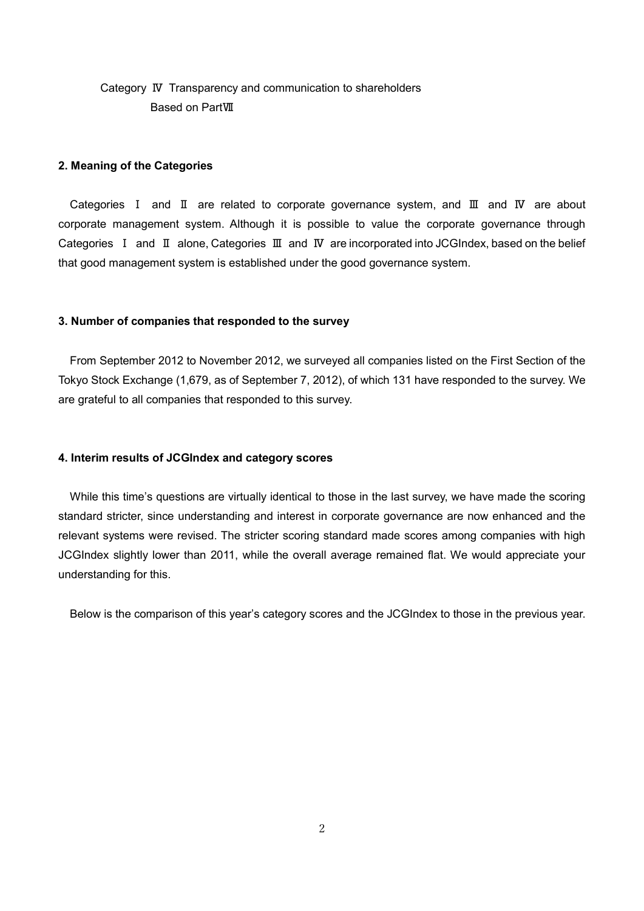## Category Ⅳ Transparency and communication to shareholders Based on PartⅦ

#### 2. Meaning of the Categories

Categories Ⅰ and Ⅱ are related to corporate governance system, and Ⅲ and Ⅳ are about corporate management system. Although it is possible to value the corporate governance through Categories Ⅰ and Ⅱ alone, Categories Ⅲ and Ⅳ are incorporated into JCGIndex, based on the belief that good management system is established under the good governance system.

#### 3. Number of companies that responded to the survey

From September 2012 to November 2012, we surveyed all companies listed on the First Section of the Tokyo Stock Exchange (1,679, as of September 7, 2012), of which 131 have responded to the survey. We are grateful to all companies that responded to this survey.

#### 4. Interim results of JCGIndex and category scores

While this time's questions are virtually identical to those in the last survey, we have made the scoring standard stricter, since understanding and interest in corporate governance are now enhanced and the relevant systems were revised. The stricter scoring standard made scores among companies with high JCGIndex slightly lower than 2011, while the overall average remained flat. We would appreciate your understanding for this.

Below is the comparison of this year's category scores and the JCGIndex to those in the previous year.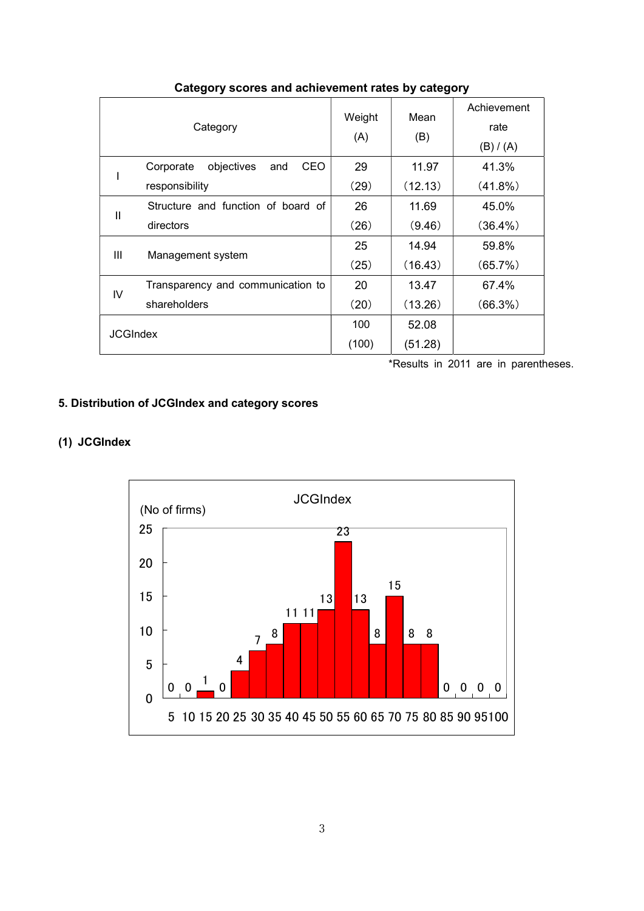| Category        |                                       | Weight<br>(A) | Mean<br>(B) | Achievement<br>rate<br>(B) / (A) |
|-----------------|---------------------------------------|---------------|-------------|----------------------------------|
|                 | objectives<br>CEO<br>Corporate<br>and | 29            | 11.97       | 41.3%                            |
|                 | responsibility                        | (29)          | (12.13)     | $(41.8\%)$                       |
| $\mathbf{I}$    | Structure and function of board of    | 26            | 11.69       | 45.0%                            |
|                 | directors                             | (26)          | (9.46)      | $(36.4\%)$                       |
| Ш               | Management system                     | 25            | 14.94       | 59.8%                            |
|                 |                                       | (25)          | (16.43)     | (65.7%)                          |
| IV              | Transparency and communication to     | 20            | 13.47       | 67.4%                            |
|                 | shareholders                          | (20)          | (13.26)     | $(66.3\%)$                       |
| <b>JCGIndex</b> |                                       | 100           | 52.08       |                                  |
|                 |                                       | (100)         | (51.28)     |                                  |

### Category scores and achievement rates by category

\*Results in 2011 are in parentheses.

# 5. Distribution of JCGIndex and category scores

# (1) JCGIndex

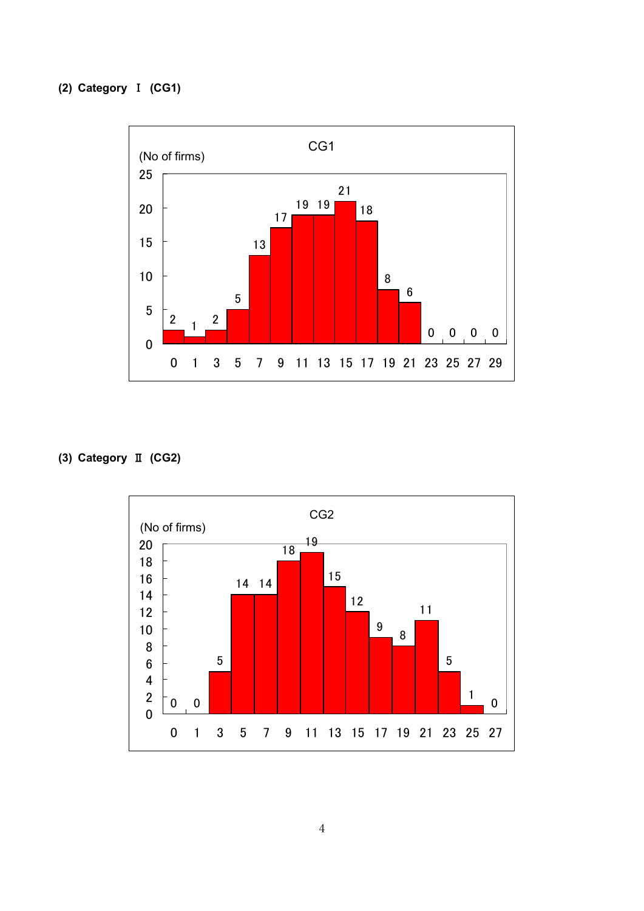## (2) Category Ⅰ (CG1)



# (3) Category Ⅱ (CG2)